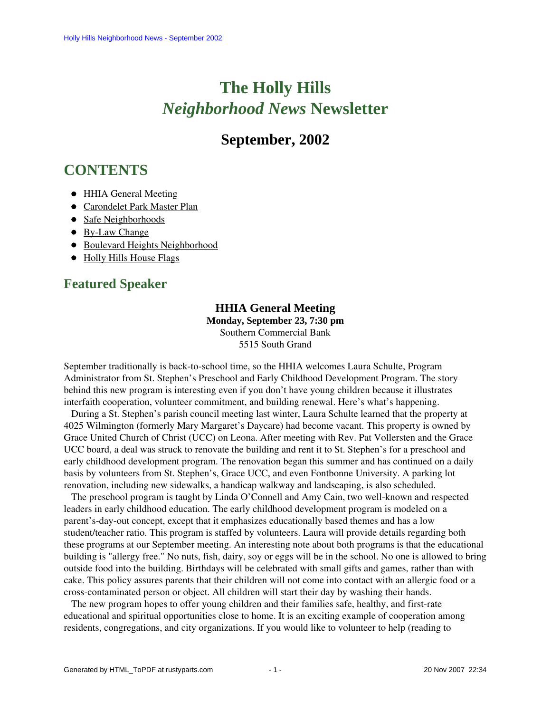# **The Holly Hills**  *Neighborhood News* **Newsletter**

# **September, 2002**

# <span id="page-0-1"></span>**CONTENTS**

- [HHIA General Meeting](#page-0-0)
- [Carondelet Park Master Plan](#page-1-0)
- [Safe Neighborhoods](#page-1-1)
- [By-Law Change](#page-2-0)
- [Boulevard Heights Neighborhood](#page-2-1)
- [Holly Hills House Flags](#page-3-0)

## <span id="page-0-0"></span>**Featured Speaker**

### **HHIA General Meeting**

**Monday, September 23, 7:30 pm** Southern Commercial Bank 5515 South Grand

September traditionally is back-to-school time, so the HHIA welcomes Laura Schulte, Program Administrator from St. Stephen's Preschool and Early Childhood Development Program. The story behind this new program is interesting even if you don't have young children because it illustrates interfaith cooperation, volunteer commitment, and building renewal. Here's what's happening.

 During a St. Stephen's parish council meeting last winter, Laura Schulte learned that the property at 4025 Wilmington (formerly Mary Margaret's Daycare) had become vacant. This property is owned by Grace United Church of Christ (UCC) on Leona. After meeting with Rev. Pat Vollersten and the Grace UCC board, a deal was struck to renovate the building and rent it to St. Stephen's for a preschool and early childhood development program. The renovation began this summer and has continued on a daily basis by volunteers from St. Stephen's, Grace UCC, and even Fontbonne University. A parking lot renovation, including new sidewalks, a handicap walkway and landscaping, is also scheduled.

 The preschool program is taught by Linda O'Connell and Amy Cain, two well-known and respected leaders in early childhood education. The early childhood development program is modeled on a parent's-day-out concept, except that it emphasizes educationally based themes and has a low student/teacher ratio. This program is staffed by volunteers. Laura will provide details regarding both these programs at our September meeting. An interesting note about both programs is that the educational building is "allergy free." No nuts, fish, dairy, soy or eggs will be in the school. No one is allowed to bring outside food into the building. Birthdays will be celebrated with small gifts and games, rather than with cake. This policy assures parents that their children will not come into contact with an allergic food or a cross-contaminated person or object. All children will start their day by washing their hands.

 The new program hopes to offer young children and their families safe, healthy, and first-rate educational and spiritual opportunities close to home. It is an exciting example of cooperation among residents, congregations, and city organizations. If you would like to volunteer to help (reading to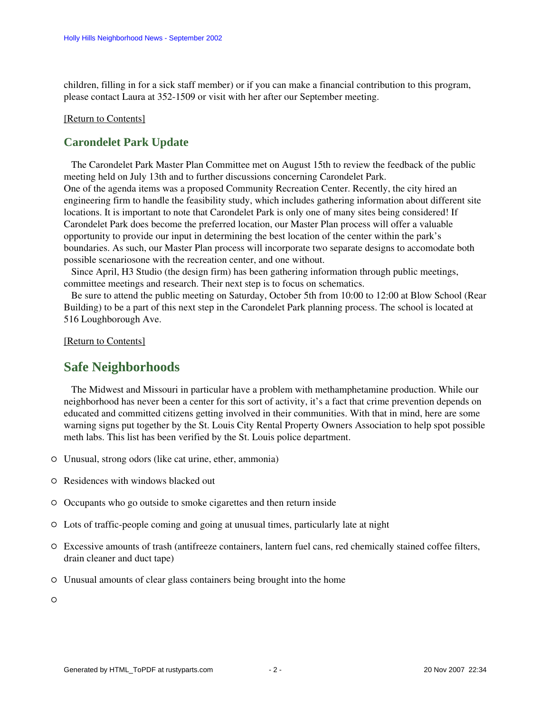children, filling in for a sick staff member) or if you can make a financial contribution to this program, please contact Laura at 352-1509 or visit with her after our September meeting.

#### [\[Return to Contents\]](#page-0-1)

### <span id="page-1-0"></span>**Carondelet Park Update**

 The Carondelet Park Master Plan Committee met on August 15th to review the feedback of the public meeting held on July 13th and to further discussions concerning Carondelet Park. One of the agenda items was a proposed Community Recreation Center. Recently, the city hired an engineering firm to handle the feasibility study, which includes gathering information about different site locations. It is important to note that Carondelet Park is only one of many sites being considered! If Carondelet Park does become the preferred location, our Master Plan process will offer a valuable opportunity to provide our input in determining the best location of the center within the park's boundaries. As such, our Master Plan process will incorporate two separate designs to accomodate both possible scenariosone with the recreation center, and one without.

 Since April, H3 Studio (the design firm) has been gathering information through public meetings, committee meetings and research. Their next step is to focus on schematics.

 Be sure to attend the public meeting on Saturday, October 5th from 10:00 to 12:00 at Blow School (Rear Building) to be a part of this next step in the Carondelet Park planning process. The school is located at 516 Loughborough Ave.

#### <span id="page-1-1"></span>[\[Return to Contents\]](#page-0-1)

### **Safe Neighborhoods**

 The Midwest and Missouri in particular have a problem with methamphetamine production. While our neighborhood has never been a center for this sort of activity, it's a fact that crime prevention depends on educated and committed citizens getting involved in their communities. With that in mind, here are some warning signs put together by the St. Louis City Rental Property Owners Association to help spot possible meth labs. This list has been verified by the St. Louis police department.

- Unusual, strong odors (like cat urine, ether, ammonia)
- Residences with windows blacked out
- Occupants who go outside to smoke cigarettes and then return inside
- Lots of traffic-people coming and going at unusual times, particularly late at night
- Excessive amounts of trash (antifreeze containers, lantern fuel cans, red chemically stained coffee filters, drain cleaner and duct tape)
- Unusual amounts of clear glass containers being brought into the home

 $\circ$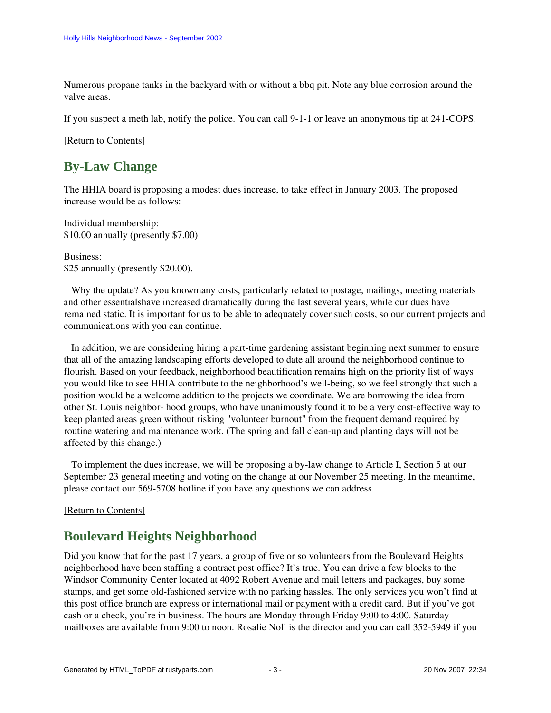Numerous propane tanks in the backyard with or without a bbq pit. Note any blue corrosion around the valve areas.

If you suspect a meth lab, notify the police. You can call 9-1-1 or leave an anonymous tip at 241-COPS.

<span id="page-2-0"></span>[\[Return to Contents\]](#page-0-1)

## **By-Law Change**

The HHIA board is proposing a modest dues increase, to take effect in January 2003. The proposed increase would be as follows:

Individual membership: \$10.00 annually (presently \$7.00)

Business: \$25 annually (presently \$20.00).

 Why the update? As you knowmany costs, particularly related to postage, mailings, meeting materials and other essentialshave increased dramatically during the last several years, while our dues have remained static. It is important for us to be able to adequately cover such costs, so our current projects and communications with you can continue.

 In addition, we are considering hiring a part-time gardening assistant beginning next summer to ensure that all of the amazing landscaping efforts developed to date all around the neighborhood continue to flourish. Based on your feedback, neighborhood beautification remains high on the priority list of ways you would like to see HHIA contribute to the neighborhood's well-being, so we feel strongly that such a position would be a welcome addition to the projects we coordinate. We are borrowing the idea from other St. Louis neighbor- hood groups, who have unanimously found it to be a very cost-effective way to keep planted areas green without risking "volunteer burnout" from the frequent demand required by routine watering and maintenance work. (The spring and fall clean-up and planting days will not be affected by this change.)

 To implement the dues increase, we will be proposing a by-law change to Article I, Section 5 at our September 23 general meeting and voting on the change at our November 25 meeting. In the meantime, please contact our 569-5708 hotline if you have any questions we can address.

<span id="page-2-1"></span>[\[Return to Contents\]](#page-0-1)

## **Boulevard Heights Neighborhood**

Did you know that for the past 17 years, a group of five or so volunteers from the Boulevard Heights neighborhood have been staffing a contract post office? It's true. You can drive a few blocks to the Windsor Community Center located at 4092 Robert Avenue and mail letters and packages, buy some stamps, and get some old-fashioned service with no parking hassles. The only services you won't find at this post office branch are express or international mail or payment with a credit card. But if you've got cash or a check, you're in business. The hours are Monday through Friday 9:00 to 4:00. Saturday mailboxes are available from 9:00 to noon. Rosalie Noll is the director and you can call 352-5949 if you